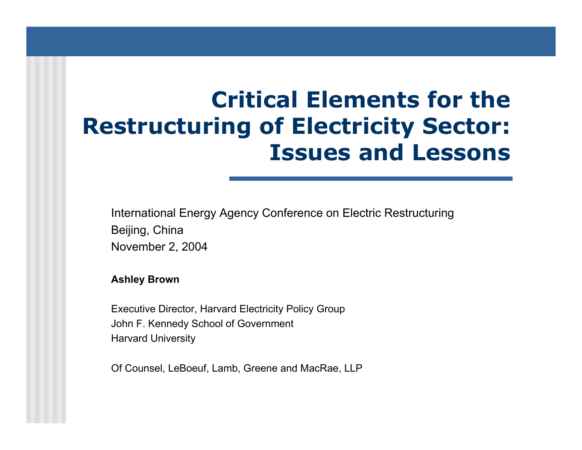# **Critical Elements for the Restructuring of Electricity Sector: Issues and Lessons**

International Energy Agency Conference on Electric Restructuring Beijing, China November 2, 2004

#### **Ashle y Brown**

Executi ve Director, Harvard Electricity Policy Group John F. Kennedy School of Governm ent Harvard University

Of Counsel, LeBoeuf, Lamb, Greene and MacRae, LLP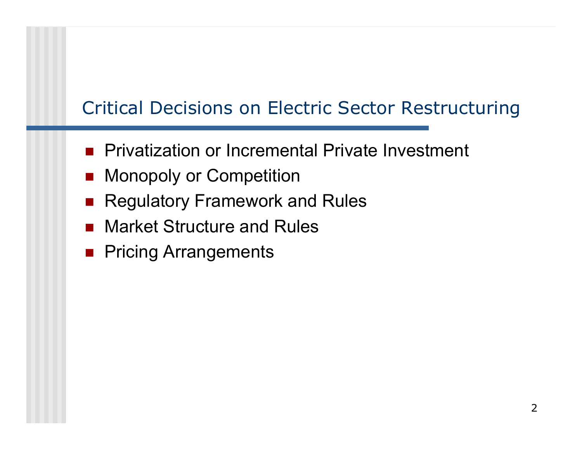# Critical Decisions on Electric Sector Restructuring

- **Privatization or Incremental Private Investment**
- **Nonopoly or Competition**
- $\overline{\phantom{a}}$ Regulatory Framework and Rules
- Market Structure and Rules
- **Pricing Arrangements**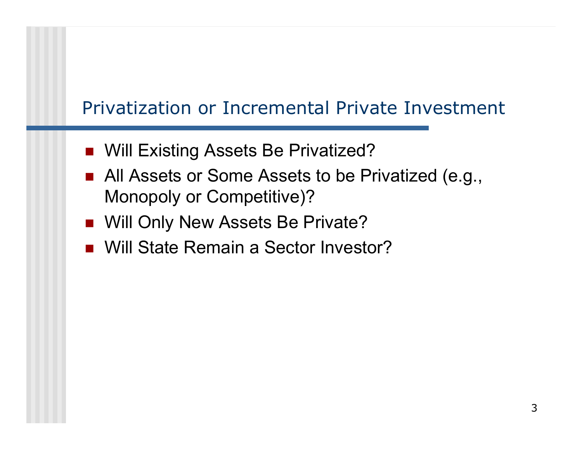# Privatization or Incremental Private Investment

- Will Existing Assets Be Privatized?
- All Assets or Some Assets to be Privatized (e.g., Monopoly or Competitive)?
- **Nill Only New Assets Be Private?**
- Will State Remain a Sector Investor?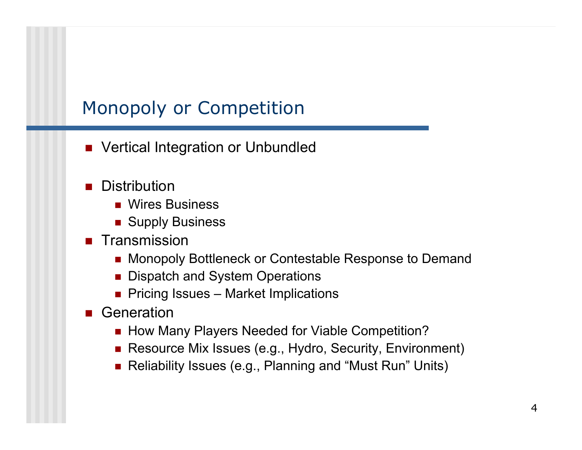# Monopoly or Competition

- $\overline{\phantom{a}}$ Vertical Integration or Unbundled
- M. Distribution
	- Wires Business
	- Supply Business
- **Transmission** 
	- Monopoly Bottleneck or Contestable Response to Demand
	- Dispatch and System Operations
	- Pricing Issues Market Implications
- **B** Generation
	- How Many Players Needed for Viable Competition?
	- Resource Mix Issues (e.g., Hydro, Security, Environment)
	- Reliability Issues (e.g., Planning and "Must Run" Units)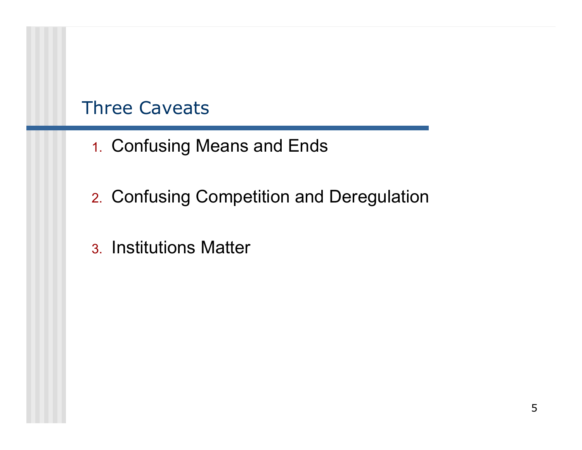#### Three Caveats

- 1. Confusing Means and Ends
- 2. Confusing Competition and Deregulation
- 3. Institutions Matter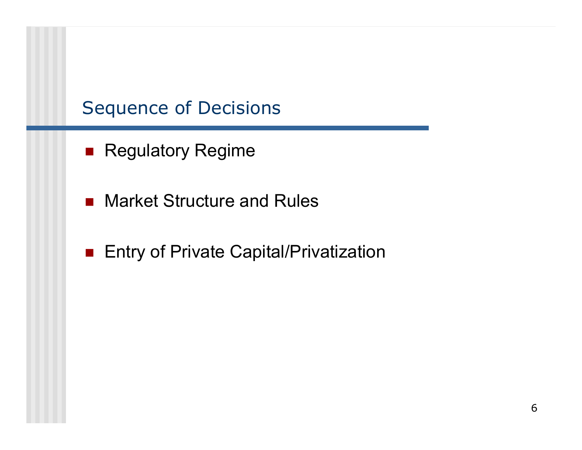#### Sequence of Decisions

- **Regulatory Regime**
- $\mathcal{L}_{\text{max}}$ Market Structure and Rules
- **Entry of Private Capital/Privatization**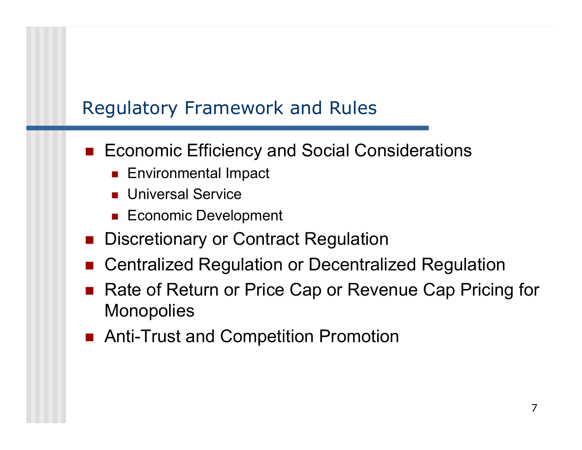### Regulatory Framework and Rules

- Economic Efficiency and Social Considerations
	- $\blacksquare$  Environmental Impact
	- П Universal Service
	- Economic Development
- $\overline{\phantom{a}}$ Discretionary or Contract Regulation
- $\overline{\phantom{a}}$ Centralized Regulation or Decentralized Regulation
- $\overline{\phantom{a}}$  Rate of Return or Price Cap or Revenue Cap Pricing for **Monopolies**
- Anti-Trust and Competition Promotion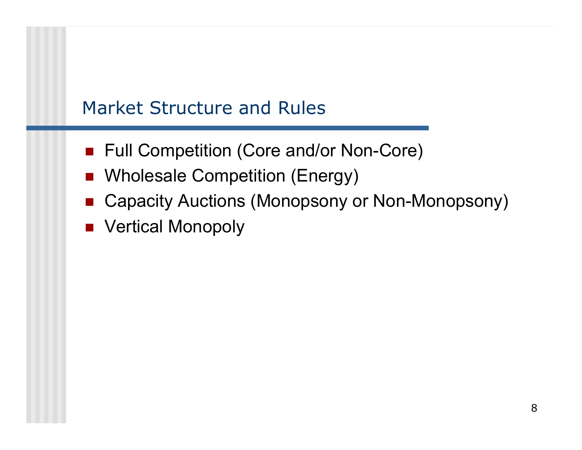### Market Structure and Rules

- Full Competition (Core and/or Non-Core)
- **Number 20 Milliph** Wholesale Competition (Energy)
- Capacity Auctions (Monopsony or Non-Monopsony)
- Vertical Monopoly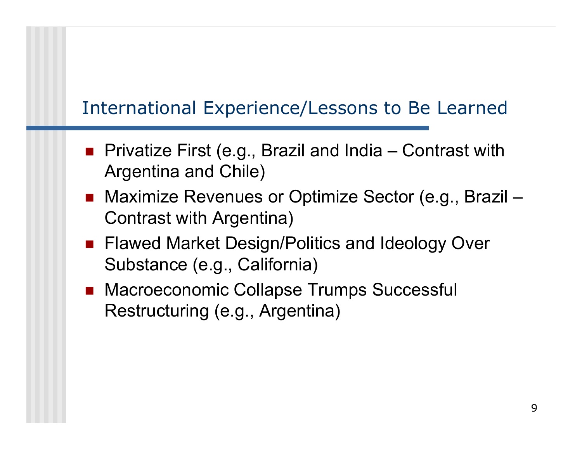# International Experience/Lessons to Be Learned

- Privatize First (e.g., Brazil and India Contrast with Argentina and Chile)
- Maximize Revenues or Optimize Sector (e.g., Brazil Contrast with Argentina)
- Flawed Market Design/Politics and Ideology Over Substance (e.g., California)
- Macroeconomic Collapse Trumps Successful Restructuring (e.g., Argentina)